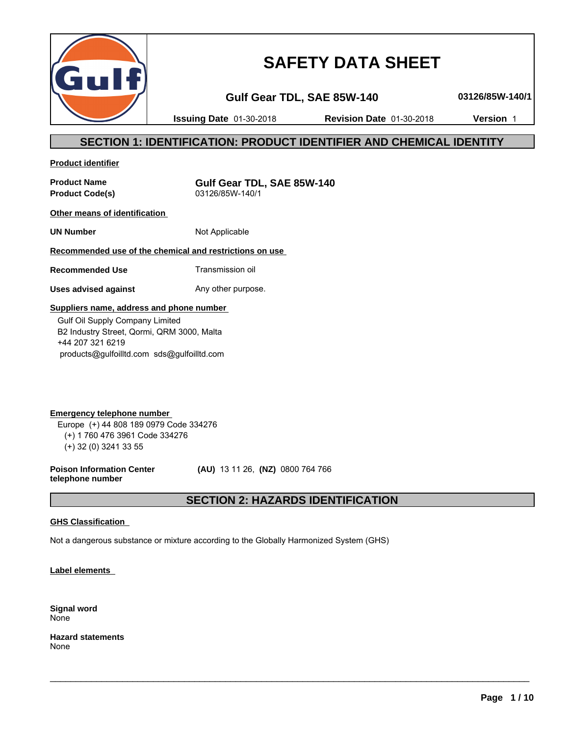

# **SAFETY DATA SHEET**

**Gulf Gear TDL, SAE 85W-140 03126/85W-140/1**

**Issuing Date** 01-30-2018 **Revision Date** 01-30-2018 **Version** 1

# **SECTION 1: IDENTIFICATION: PRODUCT IDENTIFIER AND CHEMICAL IDENTITY**

**Product identifier**

**Product Code(s)** 03126/85W-140/1

**Product Name Gulf Gear TDL, SAE 85W-140**

**Other means of identification** 

**UN Number** Not Applicable

# **Recommended use of the chemical and restrictions on use**

**Recommended Use** Transmission oil

**Uses advised against** Any other purpose.

# **Suppliers name, address and phone number**

 Gulf Oil Supply Company Limited B2 Industry Street, Qormi, QRM 3000, Malta +44 207 321 6219 products@gulfoilltd.com sds@gulfoilltd.com

**Emergency telephone number**  Europe (+) 44 808 189 0979 Code 334276 (+) 1 760 476 3961 Code 334276 (+) 32 (0) 3241 33 55

**Poison Information Center telephone number**

 **(AU)** 13 11 26, **(NZ)** 0800 764 766

# **SECTION 2: HAZARDS IDENTIFICATION**

 $\_$  ,  $\_$  ,  $\_$  ,  $\_$  ,  $\_$  ,  $\_$  ,  $\_$  ,  $\_$  ,  $\_$  ,  $\_$  ,  $\_$  ,  $\_$  ,  $\_$  ,  $\_$  ,  $\_$  ,  $\_$  ,  $\_$  ,  $\_$  ,  $\_$  ,  $\_$  ,  $\_$  ,  $\_$  ,  $\_$  ,  $\_$  ,  $\_$  ,  $\_$  ,  $\_$  ,  $\_$  ,  $\_$  ,  $\_$  ,  $\_$  ,  $\_$  ,  $\_$  ,  $\_$  ,  $\_$  ,  $\_$  ,  $\_$  ,

# **GHS Classification**

Not a dangerous substance or mixture according to the Globally Harmonized System (GHS)

**Label elements** 

**Signal word** None

**Hazard statements** None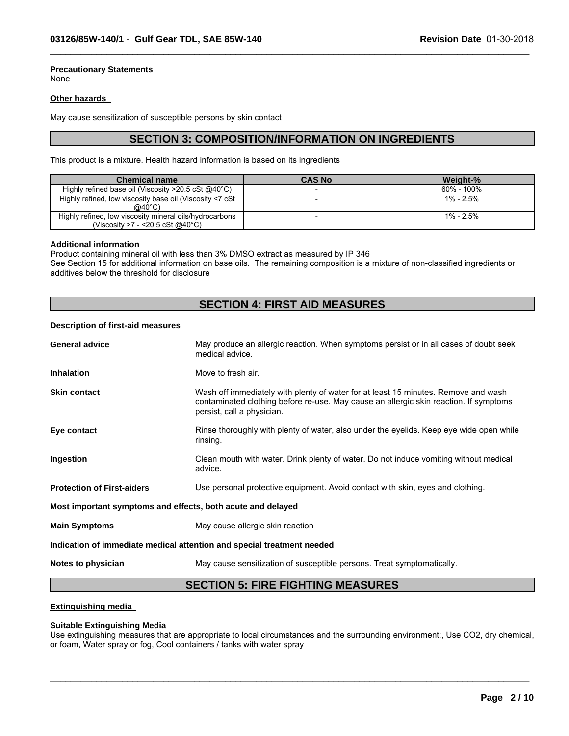#### **Precautionary Statements** None

### **Other hazards**

May cause sensitization of susceptible persons by skin contact

# **SECTION 3: COMPOSITION/INFORMATION ON INGREDIENTS**

 $\_$  ,  $\_$  ,  $\_$  ,  $\_$  ,  $\_$  ,  $\_$  ,  $\_$  ,  $\_$  ,  $\_$  ,  $\_$  ,  $\_$  ,  $\_$  ,  $\_$  ,  $\_$  ,  $\_$  ,  $\_$  ,  $\_$  ,  $\_$  ,  $\_$  ,  $\_$  ,  $\_$  ,  $\_$  ,  $\_$  ,  $\_$  ,  $\_$  ,  $\_$  ,  $\_$  ,  $\_$  ,  $\_$  ,  $\_$  ,  $\_$  ,  $\_$  ,  $\_$  ,  $\_$  ,  $\_$  ,  $\_$  ,  $\_$  ,

This product is a mixture. Health hazard information is based on its ingredients

| <b>Chemical name</b>                                                                                     | <b>CAS No</b> | Weight-%      |
|----------------------------------------------------------------------------------------------------------|---------------|---------------|
| Highly refined base oil (Viscosity $>20.5$ cSt @40 $^{\circ}$ C)                                         |               | 60% - 100%    |
| Highly refined, low viscosity base oil (Viscosity <7 cSt)<br>$@40^{\circ}$ C)                            |               | $1\% - 2.5\%$ |
| Highly refined, low viscosity mineral oils/hydrocarbons<br>(Viscosity $>7$ - <20.5 cSt @40 $^{\circ}$ C) |               | 1% - 2.5%     |

#### **Additional information**

Product containing mineral oil with less than 3% DMSO extract as measured by IP 346 See Section 15 for additional information on base oils. The remaining composition is a mixture of non-classified ingredients or additives below the threshold for disclosure

# **SECTION 4: FIRST AID MEASURES**

#### **Description of first-aid measures**

| <b>General advice</b>                                       | May produce an allergic reaction. When symptoms persist or in all cases of doubt seek<br>medical advice.                                                                                                  |
|-------------------------------------------------------------|-----------------------------------------------------------------------------------------------------------------------------------------------------------------------------------------------------------|
| <b>Inhalation</b>                                           | Move to fresh air.                                                                                                                                                                                        |
| <b>Skin contact</b>                                         | Wash off immediately with plenty of water for at least 15 minutes. Remove and wash<br>contaminated clothing before re-use. May cause an allergic skin reaction. If symptoms<br>persist, call a physician. |
| Eye contact                                                 | Rinse thoroughly with plenty of water, also under the eyelids. Keep eye wide open while<br>rinsing.                                                                                                       |
| <b>Ingestion</b>                                            | Clean mouth with water. Drink plenty of water. Do not induce vomiting without medical<br>advice.                                                                                                          |
| <b>Protection of First-aiders</b>                           | Use personal protective equipment. Avoid contact with skin, eyes and clothing.                                                                                                                            |
| Most important symptoms and effects, both acute and delayed |                                                                                                                                                                                                           |
| <b>Main Symptoms</b>                                        | May cause allergic skin reaction                                                                                                                                                                          |
|                                                             | Indication of immediate medical attention and special treatment needed                                                                                                                                    |
| Notes to physician                                          | May cause sensitization of susceptible persons. Treat symptomatically.                                                                                                                                    |

# **SECTION 5: FIRE FIGHTING MEASURES**

### **Extinguishing media**

#### **Suitable Extinguishing Media**

Use extinguishing measures that are appropriate to local circumstances and the surrounding environment:, Use CO2, dry chemical, or foam, Water spray or fog, Cool containers / tanks with water spray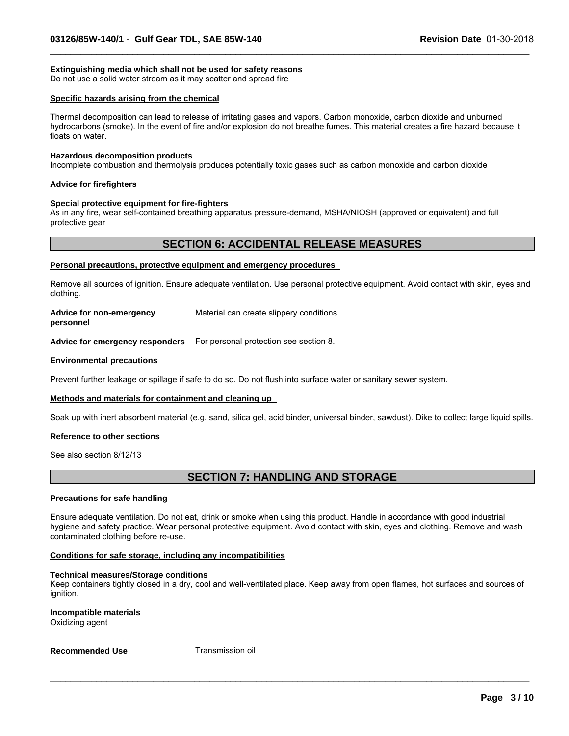#### **Extinguishing media which shall not be used for safety reasons**

Do not use a solid water stream as it may scatter and spread fire

#### **Specific hazards arising from the chemical**

Thermal decomposition can lead to release of irritating gases and vapors. Carbon monoxide, carbon dioxide and unburned hydrocarbons (smoke). In the event of fire and/or explosion do not breathe fumes. This material creates a fire hazard because it floats on water.

 $\_$  ,  $\_$  ,  $\_$  ,  $\_$  ,  $\_$  ,  $\_$  ,  $\_$  ,  $\_$  ,  $\_$  ,  $\_$  ,  $\_$  ,  $\_$  ,  $\_$  ,  $\_$  ,  $\_$  ,  $\_$  ,  $\_$  ,  $\_$  ,  $\_$  ,  $\_$  ,  $\_$  ,  $\_$  ,  $\_$  ,  $\_$  ,  $\_$  ,  $\_$  ,  $\_$  ,  $\_$  ,  $\_$  ,  $\_$  ,  $\_$  ,  $\_$  ,  $\_$  ,  $\_$  ,  $\_$  ,  $\_$  ,  $\_$  ,

#### **Hazardous decomposition products**

Incomplete combustion and thermolysis produces potentially toxic gases such as carbon monoxide and carbon dioxide

#### **Advice for firefighters**

#### **Special protective equipment for fire-fighters**

As in any fire, wear self-contained breathing apparatus pressure-demand, MSHA/NIOSH (approved or equivalent) and full protective gear

# **SECTION 6: ACCIDENTAL RELEASE MEASURES**

#### **Personal precautions, protective equipment and emergency procedures**

Remove all sources of ignition. Ensure adequate ventilation. Use personal protective equipment. Avoid contact with skin, eyes and clothing.

**Advice for non-emergency** Material can create slippery conditions.

**personnel**

**Advice for emergency responders** For personal protection see section 8.

#### **Environmental precautions**

Prevent further leakage or spillage if safe to do so. Do not flush into surface water or sanitary sewer system.

#### **Methods and materials for containment and cleaning up**

Soak up with inert absorbent material (e.g. sand, silica gel, acid binder, universal binder, sawdust). Dike to collect large liquid spills.

#### **Reference to other sections**

See also section 8/12/13

# **SECTION 7: HANDLING AND STORAGE**

#### **Precautions for safe handling**

Ensure adequate ventilation. Do not eat, drink or smoke when using this product. Handle in accordance with good industrial hygiene and safety practice. Wear personal protective equipment. Avoid contact with skin, eyes and clothing. Remove and wash contaminated clothing before re-use.

#### **Conditions for safe storage, including any incompatibilities**

#### **Technical measures/Storage conditions**

Keep containers tightly closed in a dry, cool and well-ventilated place. Keep away from open flames, hot surfaces and sources of ignition.

 $\_$  ,  $\_$  ,  $\_$  ,  $\_$  ,  $\_$  ,  $\_$  ,  $\_$  ,  $\_$  ,  $\_$  ,  $\_$  ,  $\_$  ,  $\_$  ,  $\_$  ,  $\_$  ,  $\_$  ,  $\_$  ,  $\_$  ,  $\_$  ,  $\_$  ,  $\_$  ,  $\_$  ,  $\_$  ,  $\_$  ,  $\_$  ,  $\_$  ,  $\_$  ,  $\_$  ,  $\_$  ,  $\_$  ,  $\_$  ,  $\_$  ,  $\_$  ,  $\_$  ,  $\_$  ,  $\_$  ,  $\_$  ,  $\_$  ,

**Incompatible materials** Oxidizing agent

**Recommended Use** Transmission oil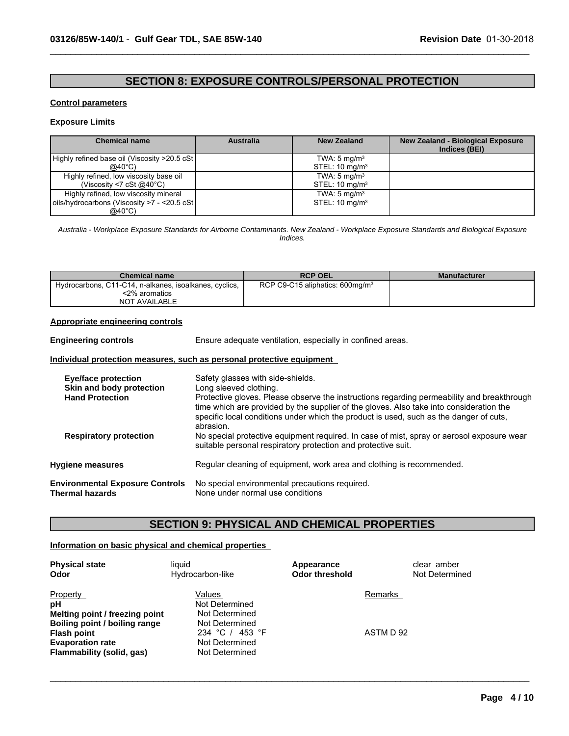# **SECTION 8: EXPOSURE CONTROLS/PERSONAL PROTECTION**

 $\_$  ,  $\_$  ,  $\_$  ,  $\_$  ,  $\_$  ,  $\_$  ,  $\_$  ,  $\_$  ,  $\_$  ,  $\_$  ,  $\_$  ,  $\_$  ,  $\_$  ,  $\_$  ,  $\_$  ,  $\_$  ,  $\_$  ,  $\_$  ,  $\_$  ,  $\_$  ,  $\_$  ,  $\_$  ,  $\_$  ,  $\_$  ,  $\_$  ,  $\_$  ,  $\_$  ,  $\_$  ,  $\_$  ,  $\_$  ,  $\_$  ,  $\_$  ,  $\_$  ,  $\_$  ,  $\_$  ,  $\_$  ,  $\_$  ,

# **Control parameters**

### **Exposure Limits**

| <b>Chemical name</b>                          | <b>Australia</b> | New Zealand               | <b>New Zealand - Biological Exposure</b><br>Indices (BEI) |
|-----------------------------------------------|------------------|---------------------------|-----------------------------------------------------------|
| Highly refined base oil (Viscosity >20.5 cSt) |                  | TWA: $5 \text{ mg/m}^3$   |                                                           |
| @40°C)                                        |                  | STEL: $10 \text{ mg/m}^3$ |                                                           |
| Highly refined, low viscosity base oil        |                  | TWA: $5 \text{ mg/m}^3$   |                                                           |
| (Viscosity <7 cSt $@40^{\circ}$ C)            |                  | STEL: $10 \text{ mg/m}^3$ |                                                           |
| Highly refined, low viscosity mineral         |                  | TWA: $5 \text{ mg/m}^3$   |                                                           |
| oils/hydrocarbons (Viscosity >7 - <20.5 cSt   |                  | STEL: $10 \text{ mg/m}^3$ |                                                           |
| $@40^{\circ}$ C)                              |                  |                           |                                                           |

*Australia - Workplace Exposure Standards for Airborne Contaminants. New Zealand - Workplace Exposure Standards and Biological Exposure Indices.*

| Chemical name                                          | <b>RCP OEL</b>                              | <b>Manufacturer</b> |
|--------------------------------------------------------|---------------------------------------------|---------------------|
| Hydrocarbons, C11-C14, n-alkanes, isoalkanes, cyclics, | RCP C9-C15 aliphatics: 600mg/m <sup>3</sup> |                     |
| <2% aromatics                                          |                                             |                     |
| NOT AVAILABLE                                          |                                             |                     |

# **Appropriate engineering controls**

| <b>Engineering controls</b>                               | Ensure adequate ventilation, especially in confined areas.                                                                                                                                                                                                                                   |
|-----------------------------------------------------------|----------------------------------------------------------------------------------------------------------------------------------------------------------------------------------------------------------------------------------------------------------------------------------------------|
|                                                           | Individual protection measures, such as personal protective equipment                                                                                                                                                                                                                        |
| <b>Eye/face protection</b><br>Skin and body protection    | Safety glasses with side-shields.<br>Long sleeved clothing.                                                                                                                                                                                                                                  |
| <b>Hand Protection</b>                                    | Protective gloves. Please observe the instructions regarding permeability and breakthrough<br>time which are provided by the supplier of the gloves. Also take into consideration the<br>specific local conditions under which the product is used, such as the danger of cuts,<br>abrasion. |
| <b>Respiratory protection</b>                             | No special protective equipment required. In case of mist, spray or aerosol exposure wear<br>suitable personal respiratory protection and protective suit.                                                                                                                                   |
| <b>Hygiene measures</b>                                   | Regular cleaning of equipment, work area and clothing is recommended.                                                                                                                                                                                                                        |
| <b>Environmental Exposure Controls</b><br>Thermal hazards | No special environmental precautions required.<br>None under normal use conditions                                                                                                                                                                                                           |

# **SECTION 9: PHYSICAL AND CHEMICAL PROPERTIES**

 $\_$  ,  $\_$  ,  $\_$  ,  $\_$  ,  $\_$  ,  $\_$  ,  $\_$  ,  $\_$  ,  $\_$  ,  $\_$  ,  $\_$  ,  $\_$  ,  $\_$  ,  $\_$  ,  $\_$  ,  $\_$  ,  $\_$  ,  $\_$  ,  $\_$  ,  $\_$  ,  $\_$  ,  $\_$  ,  $\_$  ,  $\_$  ,  $\_$  ,  $\_$  ,  $\_$  ,  $\_$  ,  $\_$  ,  $\_$  ,  $\_$  ,  $\_$  ,  $\_$  ,  $\_$  ,  $\_$  ,  $\_$  ,  $\_$  ,

# **Information on basic physical and chemical properties**

| <b>Physical state</b><br>Odor  | liauid<br>Hydrocarbon-like | Appearance<br><b>Odor threshold</b> | clear amber<br>Not Determined |
|--------------------------------|----------------------------|-------------------------------------|-------------------------------|
| Property                       | Values                     |                                     | Remarks                       |
| pH                             | Not Determined             |                                     |                               |
| Melting point / freezing point | Not Determined             |                                     |                               |
| Boiling point / boiling range  | Not Determined             |                                     |                               |
| <b>Flash point</b>             | 234 °C / 453 °F            |                                     | ASTM D 92                     |
| <b>Evaporation rate</b>        | Not Determined             |                                     |                               |
| Flammability (solid, gas)      | Not Determined             |                                     |                               |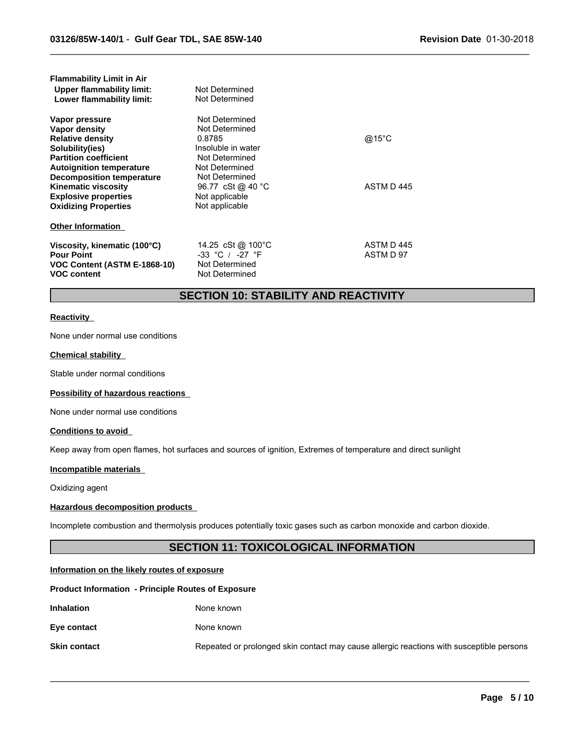| <b>Flammability Limit in Air</b><br><b>Upper flammability limit:</b><br>Lower flammability limit:                                                                                                                                                                                | Not Determined<br>Not Determined                                                                                                                                                |                            |
|----------------------------------------------------------------------------------------------------------------------------------------------------------------------------------------------------------------------------------------------------------------------------------|---------------------------------------------------------------------------------------------------------------------------------------------------------------------------------|----------------------------|
| Vapor pressure<br>Vapor density<br><b>Relative density</b><br>Solubility(ies)<br><b>Partition coefficient</b><br><b>Autoignition temperature</b><br><b>Decomposition temperature</b><br><b>Kinematic viscosity</b><br><b>Explosive properties</b><br><b>Oxidizing Properties</b> | Not Determined<br>Not Determined<br>0.8785<br>Insoluble in water<br>Not Determined<br>Not Determined<br>Not Determined<br>96.77 cSt @ 40 °C<br>Not applicable<br>Not applicable | $@15^\circ C$<br>ASTM D445 |
| <b>Other Information</b><br>Viscosity, kinematic (100°C)<br><b>Pour Point</b><br>VOC Content (ASTM E-1868-10)<br><b>VOC content</b>                                                                                                                                              | 14.25 cSt @ 100°C<br>$-33$ °C / $-27$ °F<br>Not Determined<br>Not Determined                                                                                                    | ASTM D445<br>ASTM D 97     |

# **SECTION 10: STABILITY AND REACTIVITY**

 $\_$  ,  $\_$  ,  $\_$  ,  $\_$  ,  $\_$  ,  $\_$  ,  $\_$  ,  $\_$  ,  $\_$  ,  $\_$  ,  $\_$  ,  $\_$  ,  $\_$  ,  $\_$  ,  $\_$  ,  $\_$  ,  $\_$  ,  $\_$  ,  $\_$  ,  $\_$  ,  $\_$  ,  $\_$  ,  $\_$  ,  $\_$  ,  $\_$  ,  $\_$  ,  $\_$  ,  $\_$  ,  $\_$  ,  $\_$  ,  $\_$  ,  $\_$  ,  $\_$  ,  $\_$  ,  $\_$  ,  $\_$  ,  $\_$  ,

# **Reactivity**

None under normal use conditions

### **Chemical stability**

Stable under normal conditions

# **Possibility of hazardous reactions**

None under normal use conditions

### **Conditions to avoid**

Keep away from open flames, hot surfaces and sources of ignition, Extremes of temperature and direct sunlight

#### **Incompatible materials**

Oxidizing agent

### **Hazardous decomposition products**

Incomplete combustion and thermolysis produces potentially toxic gases such as carbon monoxide and carbon dioxide.

# **SECTION 11: TOXICOLOGICAL INFORMATION**

# **Information on the likely routes of exposure**

| <b>Product Information - Principle Routes of Exposure</b> |                                                                                          |
|-----------------------------------------------------------|------------------------------------------------------------------------------------------|
| <b>Inhalation</b>                                         | None known                                                                               |
| Eye contact                                               | None known                                                                               |
| <b>Skin contact</b>                                       | Repeated or prolonged skin contact may cause allergic reactions with susceptible persons |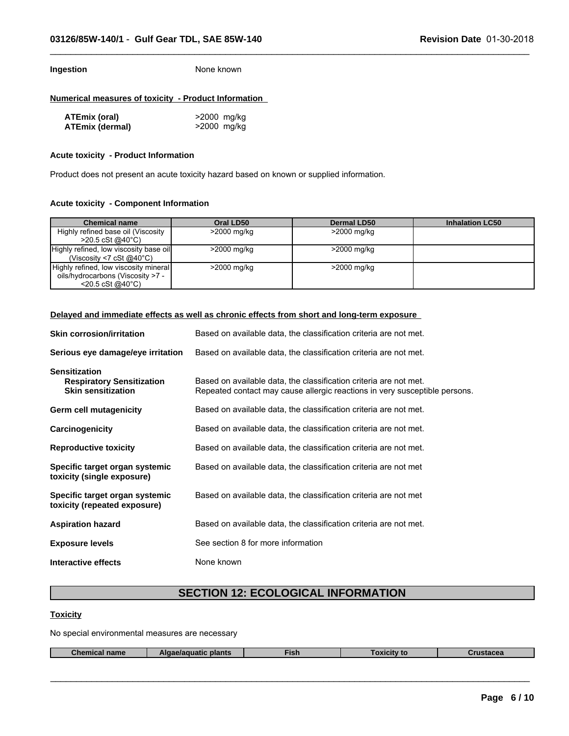# **Ingestion** None known

### **Numerical measures of toxicity - Product Information**

| ATEmix (oral)          | >2000 mg/kg |
|------------------------|-------------|
| <b>ATEmix (dermal)</b> | >2000 mg/kg |

### **Acute toxicity - Product Information**

Product does not present an acute toxicity hazard based on known or supplied information.

**Delayed and immediate effects as well as chronic effects from short and long-term exposure** 

### **Acute toxicity - Component Information**

| <b>Chemical name</b>                                                                                         | Oral LD50   | Dermal LD50 | <b>Inhalation LC50</b> |
|--------------------------------------------------------------------------------------------------------------|-------------|-------------|------------------------|
| Highly refined base oil (Viscosity<br>$>20.5 \text{ cSt}$ @40°C)                                             | >2000 mg/kg | >2000 mg/kg |                        |
| Highly refined, low viscosity base oil<br>(Viscosity <7 cSt @40 $^{\circ}$ C)                                | >2000 mg/kg | >2000 mg/kg |                        |
| Highly refined, low viscosity mineral<br>oils/hydrocarbons (Viscosity >7 -<br>$<$ 20.5 cSt @40 $^{\circ}$ C) | >2000 mg/kg | >2000 mg/kg |                        |

 $\_$  ,  $\_$  ,  $\_$  ,  $\_$  ,  $\_$  ,  $\_$  ,  $\_$  ,  $\_$  ,  $\_$  ,  $\_$  ,  $\_$  ,  $\_$  ,  $\_$  ,  $\_$  ,  $\_$  ,  $\_$  ,  $\_$  ,  $\_$  ,  $\_$  ,  $\_$  ,  $\_$  ,  $\_$  ,  $\_$  ,  $\_$  ,  $\_$  ,  $\_$  ,  $\_$  ,  $\_$  ,  $\_$  ,  $\_$  ,  $\_$  ,  $\_$  ,  $\_$  ,  $\_$  ,  $\_$  ,  $\_$  ,  $\_$  ,

| <b>Skin corrosion/irritation</b>                                                      | Based on available data, the classification criteria are not met.                                                                               |
|---------------------------------------------------------------------------------------|-------------------------------------------------------------------------------------------------------------------------------------------------|
| Serious eye damage/eye irritation                                                     | Based on available data, the classification criteria are not met.                                                                               |
| <b>Sensitization</b><br><b>Respiratory Sensitization</b><br><b>Skin sensitization</b> | Based on available data, the classification criteria are not met.<br>Repeated contact may cause allergic reactions in very susceptible persons. |
| <b>Germ cell mutagenicity</b>                                                         | Based on available data, the classification criteria are not met.                                                                               |
| Carcinogenicity                                                                       | Based on available data, the classification criteria are not met.                                                                               |
| <b>Reproductive toxicity</b>                                                          | Based on available data, the classification criteria are not met.                                                                               |
| Specific target organ systemic<br>toxicity (single exposure)                          | Based on available data, the classification criteria are not met                                                                                |
| Specific target organ systemic<br>toxicity (repeated exposure)                        | Based on available data, the classification criteria are not met                                                                                |
| <b>Aspiration hazard</b>                                                              | Based on available data, the classification criteria are not met.                                                                               |
| <b>Exposure levels</b>                                                                | See section 8 for more information                                                                                                              |
| Interactive effects                                                                   | None known                                                                                                                                      |

# **SECTION 12: ECOLOGICAL INFORMATION**

### **Toxicity**

No special environmental measures are necessary

|--|

 $\_$  , and the contribution of the contribution of the contribution of the contribution of the contribution of  $\mathcal{L}_\text{max}$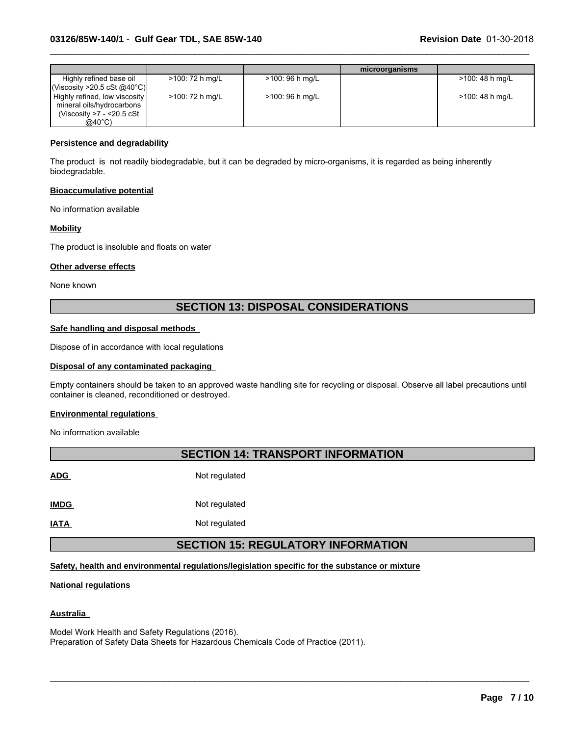|                                                                                                   |                 |                  | microorganisms |                 |
|---------------------------------------------------------------------------------------------------|-----------------|------------------|----------------|-----------------|
| Highly refined base oil<br> Viscosity > 20.5 cSt @40°C                                            | >100: 72 h mg/L | >100: 96 h mg/L  |                | >100: 48 h mg/L |
| Highly refined, low viscosity<br>mineral oils/hydrocarbons<br>(Viscosity >7 - <20.5 cSt<br>@40°C) | >100: 72 h mg/L | $>100:96$ h mg/L |                | >100: 48 h mg/L |

 $\_$  ,  $\_$  ,  $\_$  ,  $\_$  ,  $\_$  ,  $\_$  ,  $\_$  ,  $\_$  ,  $\_$  ,  $\_$  ,  $\_$  ,  $\_$  ,  $\_$  ,  $\_$  ,  $\_$  ,  $\_$  ,  $\_$  ,  $\_$  ,  $\_$  ,  $\_$  ,  $\_$  ,  $\_$  ,  $\_$  ,  $\_$  ,  $\_$  ,  $\_$  ,  $\_$  ,  $\_$  ,  $\_$  ,  $\_$  ,  $\_$  ,  $\_$  ,  $\_$  ,  $\_$  ,  $\_$  ,  $\_$  ,  $\_$  ,

# **Persistence and degradability**

The product is not readily biodegradable, but it can be degraded by micro-organisms, it is regarded as being inherently biodegradable.

#### **Bioaccumulative potential**

No information available

### **Mobility**

The product is insoluble and floats on water

#### **Other adverse effects**

None known

# **SECTION 13: DISPOSAL CONSIDERATIONS**

#### **Safe handling and disposal methods**

Dispose of in accordance with local regulations

#### **Disposal of any contaminated packaging**

Empty containers should be taken to an approved waste handling site for recycling or disposal. Observe all label precautions until container is cleaned, reconditioned or destroyed.

#### **Environmental regulations**

No information available

|             | <b>SECTION 14: TRANSPORT INFORMATION</b> |
|-------------|------------------------------------------|
| <b>ADG</b>  | Not regulated                            |
| <b>IMDG</b> | Not regulated                            |
| <b>IATA</b> | Not regulated                            |

# **SECTION 15: REGULATORY INFORMATION**

 $\_$  ,  $\_$  ,  $\_$  ,  $\_$  ,  $\_$  ,  $\_$  ,  $\_$  ,  $\_$  ,  $\_$  ,  $\_$  ,  $\_$  ,  $\_$  ,  $\_$  ,  $\_$  ,  $\_$  ,  $\_$  ,  $\_$  ,  $\_$  ,  $\_$  ,  $\_$  ,  $\_$  ,  $\_$  ,  $\_$  ,  $\_$  ,  $\_$  ,  $\_$  ,  $\_$  ,  $\_$  ,  $\_$  ,  $\_$  ,  $\_$  ,  $\_$  ,  $\_$  ,  $\_$  ,  $\_$  ,  $\_$  ,  $\_$  ,

**Safety, health and environmental regulations/legislation specific for the substance or mixture**

# **National regulations**

# **Australia**

Model Work Health and Safety Regulations (2016). Preparation of Safety Data Sheets for Hazardous Chemicals Code of Practice (2011).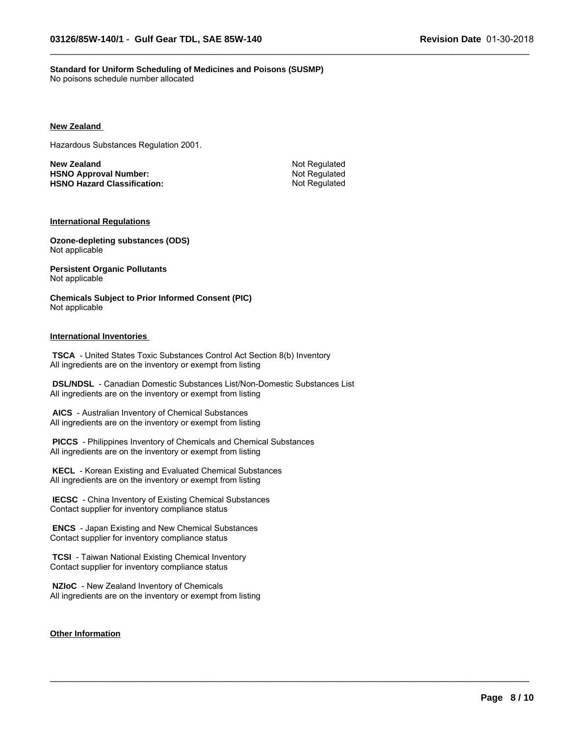#### **Standard for Uniform Scheduling of Medicines and Poisons (SUSMP)** No poisons schedule number allocated

#### **New Zealand**

Hazardous Substances Regulation 2001.

**New Zealand** Not Regulated **HSNO Approval Number:** Not Regulated<br> **HSNO Hazard Classification:** Not Regulated **HSNO Hazard Classification:** 

 $\_$  ,  $\_$  ,  $\_$  ,  $\_$  ,  $\_$  ,  $\_$  ,  $\_$  ,  $\_$  ,  $\_$  ,  $\_$  ,  $\_$  ,  $\_$  ,  $\_$  ,  $\_$  ,  $\_$  ,  $\_$  ,  $\_$  ,  $\_$  ,  $\_$  ,  $\_$  ,  $\_$  ,  $\_$  ,  $\_$  ,  $\_$  ,  $\_$  ,  $\_$  ,  $\_$  ,  $\_$  ,  $\_$  ,  $\_$  ,  $\_$  ,  $\_$  ,  $\_$  ,  $\_$  ,  $\_$  ,  $\_$  ,  $\_$  ,

 $\_$  ,  $\_$  ,  $\_$  ,  $\_$  ,  $\_$  ,  $\_$  ,  $\_$  ,  $\_$  ,  $\_$  ,  $\_$  ,  $\_$  ,  $\_$  ,  $\_$  ,  $\_$  ,  $\_$  ,  $\_$  ,  $\_$  ,  $\_$  ,  $\_$  ,  $\_$  ,  $\_$  ,  $\_$  ,  $\_$  ,  $\_$  ,  $\_$  ,  $\_$  ,  $\_$  ,  $\_$  ,  $\_$  ,  $\_$  ,  $\_$  ,  $\_$  ,  $\_$  ,  $\_$  ,  $\_$  ,  $\_$  ,  $\_$  ,

### **International Regulations**

**Ozone-depleting substances (ODS)** Not applicable

**Persistent Organic Pollutants** Not applicable

**Chemicals Subject to Prior Informed Consent (PIC)** Not applicable

# **International Inventories**

 **TSCA** - United States Toxic Substances Control Act Section 8(b) Inventory All ingredients are on the inventory or exempt from listing

 **DSL/NDSL** - Canadian Domestic Substances List/Non-Domestic Substances List All ingredients are on the inventory or exempt from listing

 **AICS** - Australian Inventory of Chemical Substances All ingredients are on the inventory or exempt from listing

 **PICCS** - Philippines Inventory of Chemicals and Chemical Substances All ingredients are on the inventory or exempt from listing

 **KECL** - Korean Existing and Evaluated Chemical Substances All ingredients are on the inventory or exempt from listing

 **IECSC** - China Inventory of Existing Chemical Substances Contact supplier for inventory compliance status

 **ENCS** - Japan Existing and New Chemical Substances Contact supplier for inventory compliance status

 **TCSI** - Taiwan National Existing Chemical Inventory Contact supplier for inventory compliance status

 **NZIoC** - New Zealand Inventory of Chemicals All ingredients are on the inventory or exempt from listing

# **Other Information**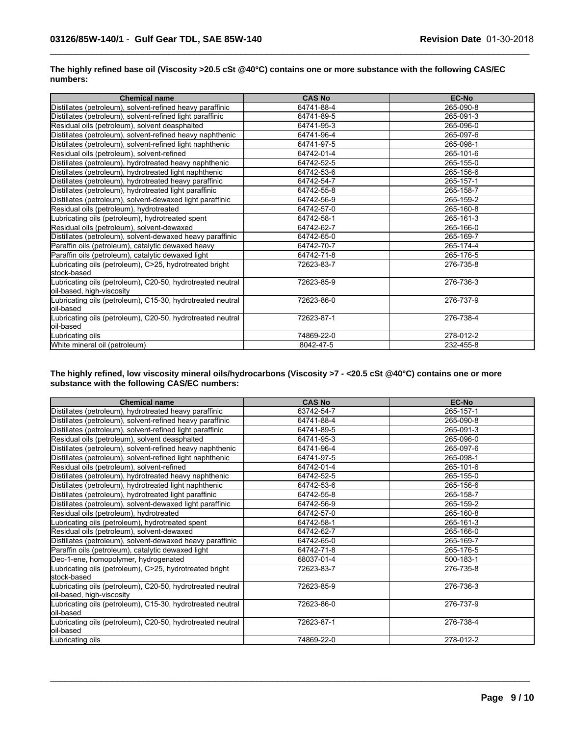| <b>Chemical name</b>                                                                    | <b>CAS No</b> | <b>EC-No</b> |
|-----------------------------------------------------------------------------------------|---------------|--------------|
| Distillates (petroleum), solvent-refined heavy paraffinic                               | 64741-88-4    | 265-090-8    |
| Distillates (petroleum), solvent-refined light paraffinic                               | 64741-89-5    | 265-091-3    |
| Residual oils (petroleum), solvent deasphalted                                          | 64741-95-3    | 265-096-0    |
| Distillates (petroleum), solvent-refined heavy naphthenic                               | 64741-96-4    | 265-097-6    |
| Distillates (petroleum), solvent-refined light naphthenic                               | 64741-97-5    | 265-098-1    |
| Residual oils (petroleum), solvent-refined                                              | 64742-01-4    | 265-101-6    |
| Distillates (petroleum), hydrotreated heavy naphthenic                                  | 64742-52-5    | 265-155-0    |
| Distillates (petroleum), hydrotreated light naphthenic                                  | 64742-53-6    | 265-156-6    |
| Distillates (petroleum), hydrotreated heavy paraffinic                                  | 64742-54-7    | 265-157-1    |
| Distillates (petroleum), hydrotreated light paraffinic                                  | 64742-55-8    | 265-158-7    |
| Distillates (petroleum), solvent-dewaxed light paraffinic                               | 64742-56-9    | 265-159-2    |
| Residual oils (petroleum), hydrotreated                                                 | 64742-57-0    | 265-160-8    |
| Lubricating oils (petroleum), hydrotreated spent                                        | 64742-58-1    | 265-161-3    |
| Residual oils (petroleum), solvent-dewaxed                                              | 64742-62-7    | 265-166-0    |
| Distillates (petroleum), solvent-dewaxed heavy paraffinic                               | 64742-65-0    | 265-169-7    |
| Paraffin oils (petroleum), catalytic dewaxed heavy                                      | 64742-70-7    | 265-174-4    |
| Paraffin oils (petroleum), catalytic dewaxed light                                      | 64742-71-8    | 265-176-5    |
| Lubricating oils (petroleum), C>25, hydrotreated bright<br>stock-based                  | 72623-83-7    | 276-735-8    |
| Lubricating oils (petroleum), C20-50, hydrotreated neutral<br>oil-based, high-viscosity | 72623-85-9    | 276-736-3    |
| Lubricating oils (petroleum), C15-30, hydrotreated neutral<br>loil-based                | 72623-86-0    | 276-737-9    |
| Lubricating oils (petroleum), C20-50, hydrotreated neutral<br>oil-based                 | 72623-87-1    | 276-738-4    |
| Lubricating oils                                                                        | 74869-22-0    | 278-012-2    |
| White mineral oil (petroleum)                                                           | 8042-47-5     | 232-455-8    |

### **The highly refined base oil (Viscosity >20.5 cSt @40°C) contains one or more substance with the following CAS/EC numbers:**

 $\_$  ,  $\_$  ,  $\_$  ,  $\_$  ,  $\_$  ,  $\_$  ,  $\_$  ,  $\_$  ,  $\_$  ,  $\_$  ,  $\_$  ,  $\_$  ,  $\_$  ,  $\_$  ,  $\_$  ,  $\_$  ,  $\_$  ,  $\_$  ,  $\_$  ,  $\_$  ,  $\_$  ,  $\_$  ,  $\_$  ,  $\_$  ,  $\_$  ,  $\_$  ,  $\_$  ,  $\_$  ,  $\_$  ,  $\_$  ,  $\_$  ,  $\_$  ,  $\_$  ,  $\_$  ,  $\_$  ,  $\_$  ,  $\_$  ,

**The highly refined, low viscosity mineral oils/hydrocarbons (Viscosity >7 - <20.5 cSt @40°C) contains one or more substance with the following CAS/EC numbers:**

| <b>Chemical name</b>                                                                    | <b>CAS No</b> | <b>EC-No</b> |
|-----------------------------------------------------------------------------------------|---------------|--------------|
| Distillates (petroleum), hydrotreated heavy paraffinic                                  | 63742-54-7    | 265-157-1    |
| Distillates (petroleum), solvent-refined heavy paraffinic                               | 64741-88-4    | 265-090-8    |
| Distillates (petroleum), solvent-refined light paraffinic                               | 64741-89-5    | 265-091-3    |
| Residual oils (petroleum), solvent deasphalted                                          | 64741-95-3    | 265-096-0    |
| Distillates (petroleum), solvent-refined heavy naphthenic                               | 64741-96-4    | 265-097-6    |
| Distillates (petroleum), solvent-refined light naphthenic                               | 64741-97-5    | 265-098-1    |
| Residual oils (petroleum), solvent-refined                                              | 64742-01-4    | 265-101-6    |
| Distillates (petroleum), hydrotreated heavy naphthenic                                  | 64742-52-5    | 265-155-0    |
| Distillates (petroleum), hydrotreated light naphthenic                                  | 64742-53-6    | 265-156-6    |
| Distillates (petroleum), hydrotreated light paraffinic                                  | 64742-55-8    | 265-158-7    |
| Distillates (petroleum), solvent-dewaxed light paraffinic                               | 64742-56-9    | 265-159-2    |
| Residual oils (petroleum), hydrotreated                                                 | 64742-57-0    | 265-160-8    |
| Lubricating oils (petroleum), hydrotreated spent                                        | 64742-58-1    | 265-161-3    |
| Residual oils (petroleum), solvent-dewaxed                                              | 64742-62-7    | 265-166-0    |
| Distillates (petroleum), solvent-dewaxed heavy paraffinic                               | 64742-65-0    | 265-169-7    |
| Paraffin oils (petroleum), catalytic dewaxed light                                      | 64742-71-8    | 265-176-5    |
| Dec-1-ene, homopolymer, hydrogenated                                                    | 68037-01-4    | 500-183-1    |
| Lubricating oils (petroleum), C>25, hydrotreated bright<br>lstock-based                 | 72623-83-7    | 276-735-8    |
| Lubricating oils (petroleum), C20-50, hydrotreated neutral<br>oil-based, high-viscosity | 72623-85-9    | 276-736-3    |
| Lubricating oils (petroleum), C15-30, hydrotreated neutral<br>oil-based                 | 72623-86-0    | 276-737-9    |
| Lubricating oils (petroleum), C20-50, hydrotreated neutral<br>loil-based                | 72623-87-1    | 276-738-4    |
| Lubricating oils                                                                        | 74869-22-0    | 278-012-2    |